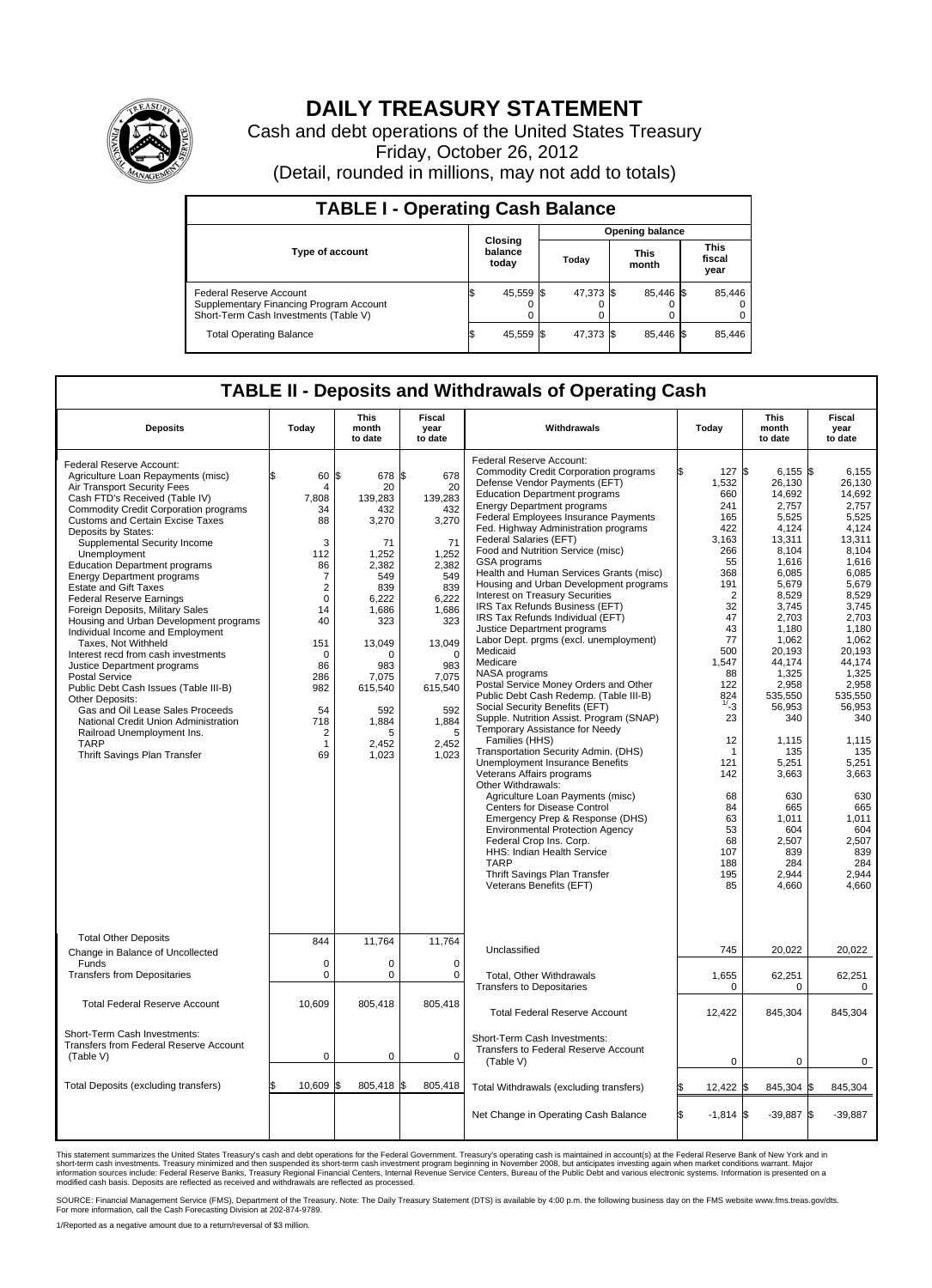

## **DAILY TREASURY STATEMENT**

Cash and debt operations of the United States Treasury Friday, October 26, 2012 (Detail, rounded in millions, may not add to totals)

| <b>TABLE I - Operating Cash Balance</b>                                                                     |                             |  |                        |  |                      |  |                               |  |  |
|-------------------------------------------------------------------------------------------------------------|-----------------------------|--|------------------------|--|----------------------|--|-------------------------------|--|--|
|                                                                                                             |                             |  | <b>Opening balance</b> |  |                      |  |                               |  |  |
| Type of account                                                                                             | Closing<br>balance<br>today |  | Today                  |  | <b>This</b><br>month |  | <b>This</b><br>fiscal<br>year |  |  |
| Federal Reserve Account<br>Supplementary Financing Program Account<br>Short-Term Cash Investments (Table V) | 45,559 \$<br>0              |  | 47,373 \$              |  | 85,446 \$            |  | 85,446                        |  |  |
| <b>Total Operating Balance</b>                                                                              | 45,559                      |  | 47.373 \$              |  | 85.446 \$            |  | 85,446                        |  |  |

## **TABLE II - Deposits and Withdrawals of Operating Cash**

| <b>Deposits</b>                                                                                                                                                                                                                                                                                                                                                                                                                                                                                                                                                                                                                                                                                                                                                                                                                                                                                         | Today                                                                                                                                                                              | <b>This</b><br>month<br>to date                                                                                                                                                                    | Fiscal<br>year<br>to date                                                                                                                                                                          | Withdrawals                                                                                                                                                                                                                                                                                                                                                                                                                                                                                                                                                                                                                                                                                                                                                                                                                                                                                                                                                                                                                                                                                                                                                                                                                                                                                                               | Today                                                                                                                                                                                                                                            | <b>This</b><br>month<br>to date                                                                                                                                                                                                                                                                                                 | Fiscal<br>year<br>to date                                                                                                                                                                                                                                                                                                  |  |
|---------------------------------------------------------------------------------------------------------------------------------------------------------------------------------------------------------------------------------------------------------------------------------------------------------------------------------------------------------------------------------------------------------------------------------------------------------------------------------------------------------------------------------------------------------------------------------------------------------------------------------------------------------------------------------------------------------------------------------------------------------------------------------------------------------------------------------------------------------------------------------------------------------|------------------------------------------------------------------------------------------------------------------------------------------------------------------------------------|----------------------------------------------------------------------------------------------------------------------------------------------------------------------------------------------------|----------------------------------------------------------------------------------------------------------------------------------------------------------------------------------------------------|---------------------------------------------------------------------------------------------------------------------------------------------------------------------------------------------------------------------------------------------------------------------------------------------------------------------------------------------------------------------------------------------------------------------------------------------------------------------------------------------------------------------------------------------------------------------------------------------------------------------------------------------------------------------------------------------------------------------------------------------------------------------------------------------------------------------------------------------------------------------------------------------------------------------------------------------------------------------------------------------------------------------------------------------------------------------------------------------------------------------------------------------------------------------------------------------------------------------------------------------------------------------------------------------------------------------------|--------------------------------------------------------------------------------------------------------------------------------------------------------------------------------------------------------------------------------------------------|---------------------------------------------------------------------------------------------------------------------------------------------------------------------------------------------------------------------------------------------------------------------------------------------------------------------------------|----------------------------------------------------------------------------------------------------------------------------------------------------------------------------------------------------------------------------------------------------------------------------------------------------------------------------|--|
| Federal Reserve Account:<br>Agriculture Loan Repayments (misc)<br>Air Transport Security Fees<br>Cash FTD's Received (Table IV)<br>Commodity Credit Corporation programs<br><b>Customs and Certain Excise Taxes</b><br>Deposits by States:<br>Supplemental Security Income<br>Unemployment<br><b>Education Department programs</b><br><b>Energy Department programs</b><br><b>Estate and Gift Taxes</b><br><b>Federal Reserve Earnings</b><br>Foreign Deposits, Military Sales<br>Housing and Urban Development programs<br>Individual Income and Employment<br>Taxes, Not Withheld<br>Interest recd from cash investments<br>Justice Department programs<br><b>Postal Service</b><br>Public Debt Cash Issues (Table III-B)<br>Other Deposits:<br>Gas and Oil Lease Sales Proceeds<br>National Credit Union Administration<br>Railroad Unemployment Ins.<br><b>TARP</b><br>Thrift Savings Plan Transfer | 60<br>4<br>7,808<br>34<br>88<br>3<br>112<br>86<br>7<br>$\overline{2}$<br>$\mathbf 0$<br>14<br>40<br>151<br>$\mathbf 0$<br>86<br>286<br>982<br>54<br>718<br>2<br>$\mathbf{1}$<br>69 | l\$<br>678<br>20<br>139,283<br>432<br>3,270<br>71<br>1,252<br>2.382<br>549<br>839<br>6,222<br>1.686<br>323<br>13,049<br>$\Omega$<br>983<br>7,075<br>615,540<br>592<br>1,884<br>5<br>2,452<br>1,023 | I\$<br>678<br>20<br>139,283<br>432<br>3,270<br>71<br>1,252<br>2,382<br>549<br>839<br>6,222<br>1,686<br>323<br>13,049<br>$\Omega$<br>983<br>7,075<br>615,540<br>592<br>1,884<br>5<br>2,452<br>1,023 | Federal Reserve Account:<br><b>Commodity Credit Corporation programs</b><br>Defense Vendor Payments (EFT)<br><b>Education Department programs</b><br><b>Energy Department programs</b><br>Federal Employees Insurance Payments<br>Fed. Highway Administration programs<br>Federal Salaries (EFT)<br>Food and Nutrition Service (misc)<br>GSA programs<br>Health and Human Services Grants (misc)<br>Housing and Urban Development programs<br><b>Interest on Treasury Securities</b><br>IRS Tax Refunds Business (EFT)<br>IRS Tax Refunds Individual (EFT)<br>Justice Department programs<br>Labor Dept. prgms (excl. unemployment)<br>Medicaid<br>Medicare<br>NASA programs<br>Postal Service Money Orders and Other<br>Public Debt Cash Redemp. (Table III-B)<br>Social Security Benefits (EFT)<br>Supple. Nutrition Assist. Program (SNAP)<br>Temporary Assistance for Needy<br>Families (HHS)<br>Transportation Security Admin. (DHS)<br><b>Unemployment Insurance Benefits</b><br>Veterans Affairs programs<br>Other Withdrawals:<br>Agriculture Loan Payments (misc)<br>Centers for Disease Control<br>Emergency Prep & Response (DHS)<br><b>Environmental Protection Agency</b><br>Federal Crop Ins. Corp.<br>HHS: Indian Health Service<br><b>TARP</b><br>Thrift Savings Plan Transfer<br>Veterans Benefits (EFT) | 127 \$<br>1,532<br>660<br>241<br>165<br>422<br>3,163<br>266<br>55<br>368<br>191<br>2<br>32<br>47<br>43<br>77<br>500<br>1,547<br>88<br>122<br>824<br>1/23<br>23<br>12<br>1<br>121<br>142<br>68<br>84<br>63<br>53<br>68<br>107<br>188<br>195<br>85 | $6,155$ \$<br>26,130<br>14,692<br>2,757<br>5,525<br>4,124<br>13,311<br>8,104<br>1,616<br>6.085<br>5,679<br>8,529<br>3,745<br>2.703<br>1,180<br>1.062<br>20,193<br>44,174<br>1,325<br>2,958<br>535,550<br>56,953<br>340<br>1,115<br>135<br>5,251<br>3,663<br>630<br>665<br>1,011<br>604<br>2,507<br>839<br>284<br>2,944<br>4,660 | 6,155<br>26,130<br>14.692<br>2,757<br>5,525<br>4,124<br>13,311<br>8,104<br>1,616<br>6.085<br>5,679<br>8,529<br>3,745<br>2.703<br>1,180<br>1.062<br>20,193<br>44,174<br>1,325<br>2,958<br>535,550<br>56,953<br>340<br>1,115<br>135<br>5,251<br>3,663<br>630<br>665<br>1,011<br>604<br>2,507<br>839<br>284<br>2.944<br>4,660 |  |
| <b>Total Other Deposits</b><br>Change in Balance of Uncollected<br>Funds                                                                                                                                                                                                                                                                                                                                                                                                                                                                                                                                                                                                                                                                                                                                                                                                                                | 844<br>$\mathbf 0$                                                                                                                                                                 | 11,764<br>$\mathbf 0$                                                                                                                                                                              | 11,764<br>$\mathbf 0$                                                                                                                                                                              | Unclassified                                                                                                                                                                                                                                                                                                                                                                                                                                                                                                                                                                                                                                                                                                                                                                                                                                                                                                                                                                                                                                                                                                                                                                                                                                                                                                              | 745                                                                                                                                                                                                                                              | 20,022                                                                                                                                                                                                                                                                                                                          | 20,022                                                                                                                                                                                                                                                                                                                     |  |
| <b>Transfers from Depositaries</b>                                                                                                                                                                                                                                                                                                                                                                                                                                                                                                                                                                                                                                                                                                                                                                                                                                                                      | 0                                                                                                                                                                                  | $\mathbf 0$                                                                                                                                                                                        | $\mathbf 0$                                                                                                                                                                                        | <b>Total, Other Withdrawals</b><br><b>Transfers to Depositaries</b>                                                                                                                                                                                                                                                                                                                                                                                                                                                                                                                                                                                                                                                                                                                                                                                                                                                                                                                                                                                                                                                                                                                                                                                                                                                       | 1,655<br>0                                                                                                                                                                                                                                       | 62,251<br>0                                                                                                                                                                                                                                                                                                                     | 62,251<br>$\mathbf 0$                                                                                                                                                                                                                                                                                                      |  |
| <b>Total Federal Reserve Account</b>                                                                                                                                                                                                                                                                                                                                                                                                                                                                                                                                                                                                                                                                                                                                                                                                                                                                    | 10,609                                                                                                                                                                             | 805,418                                                                                                                                                                                            | 805,418                                                                                                                                                                                            | <b>Total Federal Reserve Account</b>                                                                                                                                                                                                                                                                                                                                                                                                                                                                                                                                                                                                                                                                                                                                                                                                                                                                                                                                                                                                                                                                                                                                                                                                                                                                                      | 12,422                                                                                                                                                                                                                                           | 845,304                                                                                                                                                                                                                                                                                                                         | 845,304                                                                                                                                                                                                                                                                                                                    |  |
| Short-Term Cash Investments:<br>Transfers from Federal Reserve Account<br>(Table V)                                                                                                                                                                                                                                                                                                                                                                                                                                                                                                                                                                                                                                                                                                                                                                                                                     | $\mathbf 0$                                                                                                                                                                        | $\mathbf 0$                                                                                                                                                                                        | $\mathbf 0$                                                                                                                                                                                        | Short-Term Cash Investments:<br>Transfers to Federal Reserve Account<br>(Table V)                                                                                                                                                                                                                                                                                                                                                                                                                                                                                                                                                                                                                                                                                                                                                                                                                                                                                                                                                                                                                                                                                                                                                                                                                                         | 0                                                                                                                                                                                                                                                | 0                                                                                                                                                                                                                                                                                                                               | $\mathbf 0$                                                                                                                                                                                                                                                                                                                |  |
| Total Deposits (excluding transfers)                                                                                                                                                                                                                                                                                                                                                                                                                                                                                                                                                                                                                                                                                                                                                                                                                                                                    | 10,609                                                                                                                                                                             | 805,418<br>\$                                                                                                                                                                                      | 805,418                                                                                                                                                                                            | Total Withdrawals (excluding transfers)                                                                                                                                                                                                                                                                                                                                                                                                                                                                                                                                                                                                                                                                                                                                                                                                                                                                                                                                                                                                                                                                                                                                                                                                                                                                                   | 12,422 \$                                                                                                                                                                                                                                        | 845,304 \$                                                                                                                                                                                                                                                                                                                      | 845,304                                                                                                                                                                                                                                                                                                                    |  |
|                                                                                                                                                                                                                                                                                                                                                                                                                                                                                                                                                                                                                                                                                                                                                                                                                                                                                                         |                                                                                                                                                                                    |                                                                                                                                                                                                    |                                                                                                                                                                                                    | Net Change in Operating Cash Balance                                                                                                                                                                                                                                                                                                                                                                                                                                                                                                                                                                                                                                                                                                                                                                                                                                                                                                                                                                                                                                                                                                                                                                                                                                                                                      | $-1,814$ \$<br>ß.                                                                                                                                                                                                                                | $-39,887$ \$                                                                                                                                                                                                                                                                                                                    | $-39,887$                                                                                                                                                                                                                                                                                                                  |  |

This statement summarizes the United States Treasury's cash and debt operations for the Federal Government. Treasury's operating cash is maintained in account(s) at the Federal Reserve Bank of New York and in<br>short-term ca

SOURCE: Financial Management Service (FMS), Department of the Treasury. Note: The Daily Treasury Statement (DTS) is available by 4:00 p.m. the following business day on the FMS website www.fms.treas.gov/dts.<br>For more infor